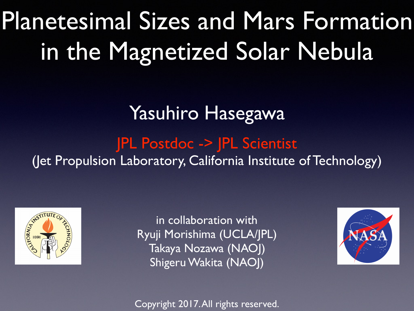# Planetesimal Sizes and Mars Formation in the Magnetized Solar Nebula

### Yasuhiro Hasegawa

### JPL Postdoc -> JPL Scientist

(Jet Propulsion Laboratory, California Institute of Technology)



in collaboration with Ryuji Morishima (UCLA/JPL) Takaya Nozawa (NAOJ) Shigeru Wakita (NAOJ)



Copyright 2017. All rights reserved.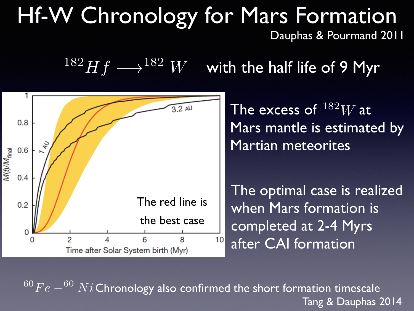### Hf-W Chronology for Mars Formation Dauphas & Pourmand 2011

 $182 Hf \longrightarrow$   $182 W$  with the half life of 9 Myr



The excess of  $^{182}W$  at Mars mantle is estimated by Martian meteorites

The optimal case is realized when Mars formation is completed at 2-4 Myrs after CAI formation

 $\sqrt[60]{Fe - ^{60} Ni}$  Chronology also confirmed the short formation timescale Tang & Dauphas 2014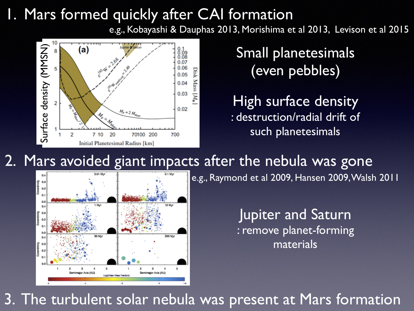#### 1. Mars formed quickly after CAI formation

e.g., Kobayashi & Dauphas 2013, Morishima et al 2013, Levison et al 2015



Small planetesimals (even pebbles)

High surface density : destruction/radial drift of such planetesimals

#### 2. Mars avoided giant impacts after the nebula was gone



e.g., Raymond et al 2009, Hansen 2009, Walsh 2011

Jupiter and Saturn : remove planet-forming materials

3. The turbulent solar nebula was present at Mars formation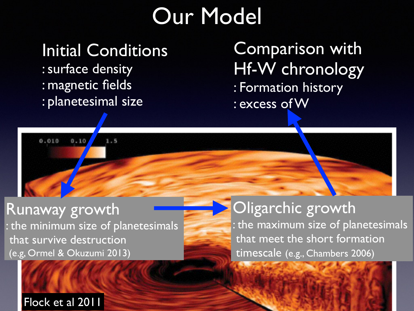## Our Model

# Initial Conditions

 $1.5$ 

: surface density : magnetic fields : planetesimal size

 $0.10$ 

Comparison with Hf-W chronology : Formation history : excess of W

Runaway growth : the minimum size of planetesimals that survive destruction (e.g, Ormel & Okuzumi 2013)

#### Oligarchic growth

: the maximum size of planetesimals that meet the short formation timescale (e.g., Chambers 2006)

Flock et al 2011

0.010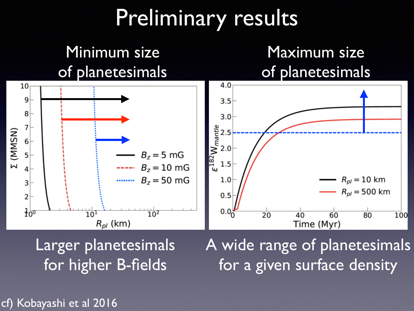## Preliminary results



Larger planetesimals for higher B-fields

A wide range of planetesimals for a given surface density

cf) Kobayashi et al 2016